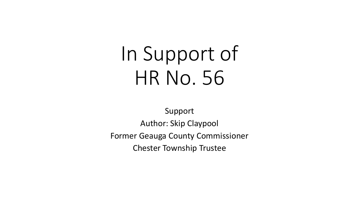# In Support of HR No. 56

Support Author: Skip Claypool Former Geauga County Commissioner Chester Township Trustee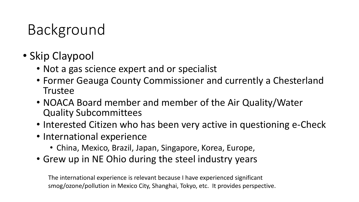# Background

- Skip Claypool
	- Not a gas science expert and or specialist
	- Former Geauga County Commissioner and currently a Chesterland **Trustee**
	- NOACA Board member and member of the Air Quality/Water Quality Subcommittees
	- Interested Citizen who has been very active in questioning e-Check
	- International experience
		- China, Mexico, Brazil, Japan, Singapore, Korea, Europe,
	- Grew up in NE Ohio during the steel industry years

The international experience is relevant because I have experienced significant smog/ozone/pollution in Mexico City, Shanghai, Tokyo, etc. It provides perspective.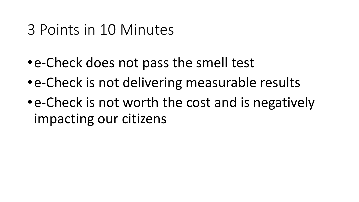## 3 Points in 10 Minutes

- •e-Check does not pass the smell test
- •e-Check is not delivering measurable results
- •e-Check is not worth the cost and is negatively impacting our citizens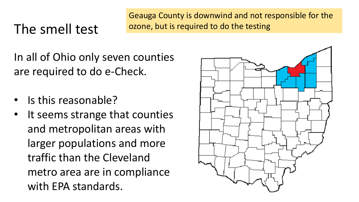#### The smell test

Geauga County is downwind and not responsible for the ozone, but is required to do the testing

In all of Ohio only seven counties are required to do e-Check.

- Is this reasonable?
- It seems strange that counties and metropolitan areas with larger populations and more traffic than the Cleveland metro area are in compliance with EPA standards.

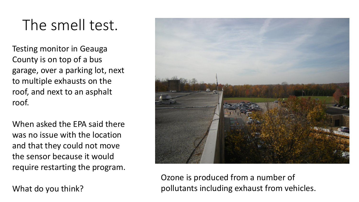# The smell test.

Testing monitor in Geauga County is on top of a bus garage, over a parking lot, next to multiple exhausts on the roof, and next to an asphalt roof.

When asked the EPA said there was no issue with the location and that they could not move the sensor because it would require restarting the program.

What do you think?



Ozone is produced from a number of pollutants including exhaust from vehicles.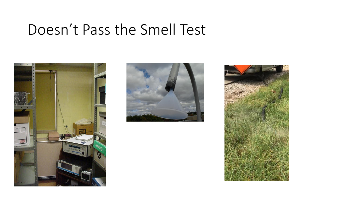## Doesn't Pass the Smell Test





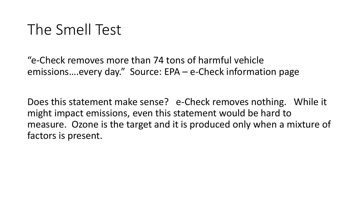# The Smell Test

"e-Check removes more than 74 tons of harmful vehicle emissions….every day." Source: EPA – e-Check information page

Does this statement make sense? e-Check removes nothing. While it might impact emissions, even this statement would be hard to measure. Ozone is the target and it is produced only when a mixture of factors is present.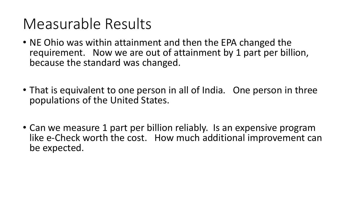# Measurable Results

- NE Ohio was within attainment and then the EPA changed the requirement. Now we are out of attainment by 1 part per billion, because the standard was changed.
- That is equivalent to one person in all of India. One person in three populations of the United States.
- Can we measure 1 part per billion reliably. Is an expensive program like e-Check worth the cost. How much additional improvement can be expected.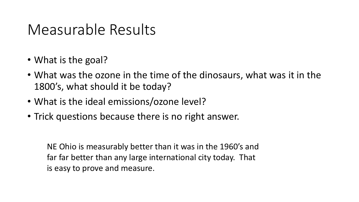## Measurable Results

- What is the goal?
- What was the ozone in the time of the dinosaurs, what was it in the 1800's, what should it be today?
- What is the ideal emissions/ozone level?
- Trick questions because there is no right answer.

NE Ohio is measurably better than it was in the 1960's and far far better than any large international city today. That is easy to prove and measure.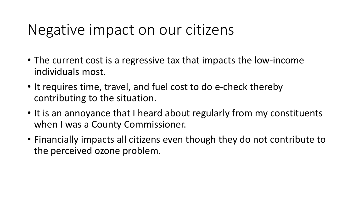#### Negative impact on our citizens

- The current cost is a regressive tax that impacts the low-income individuals most.
- It requires time, travel, and fuel cost to do e-check thereby contributing to the situation.
- It is an annoyance that I heard about regularly from my constituents when I was a County Commissioner.
- Financially impacts all citizens even though they do not contribute to the perceived ozone problem.